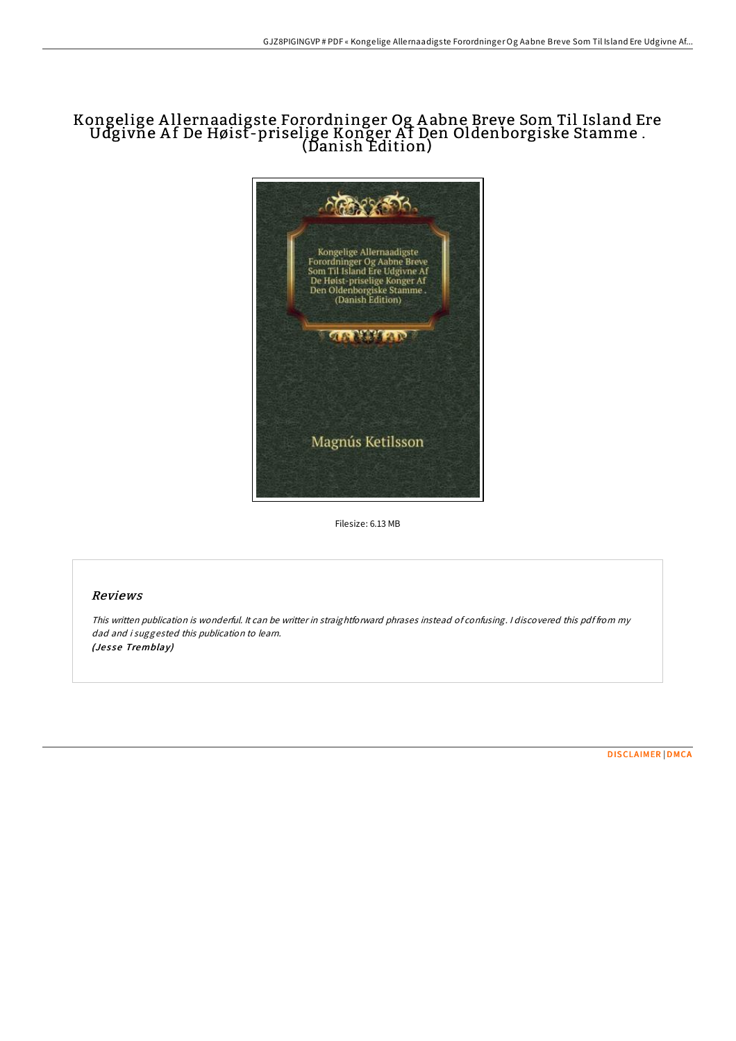# Kongelige A llernaadigste Forordninger Og A abne Breve Som Til Island Ere Udgivne Af De Høist-priselige Konger Af Den Oldenborgiske Stamme . (Danish Edition)



Filesize: 6.13 MB

#### Reviews

This written publication is wonderful. It can be writter in straightforward phrases instead of confusing. <sup>I</sup> discovered this pdf from my dad and i suggested this publication to learn. (Jesse Tremblay)

[DISCLAIMER](http://almighty24.tech/disclaimer.html) | [DMCA](http://almighty24.tech/dmca.html)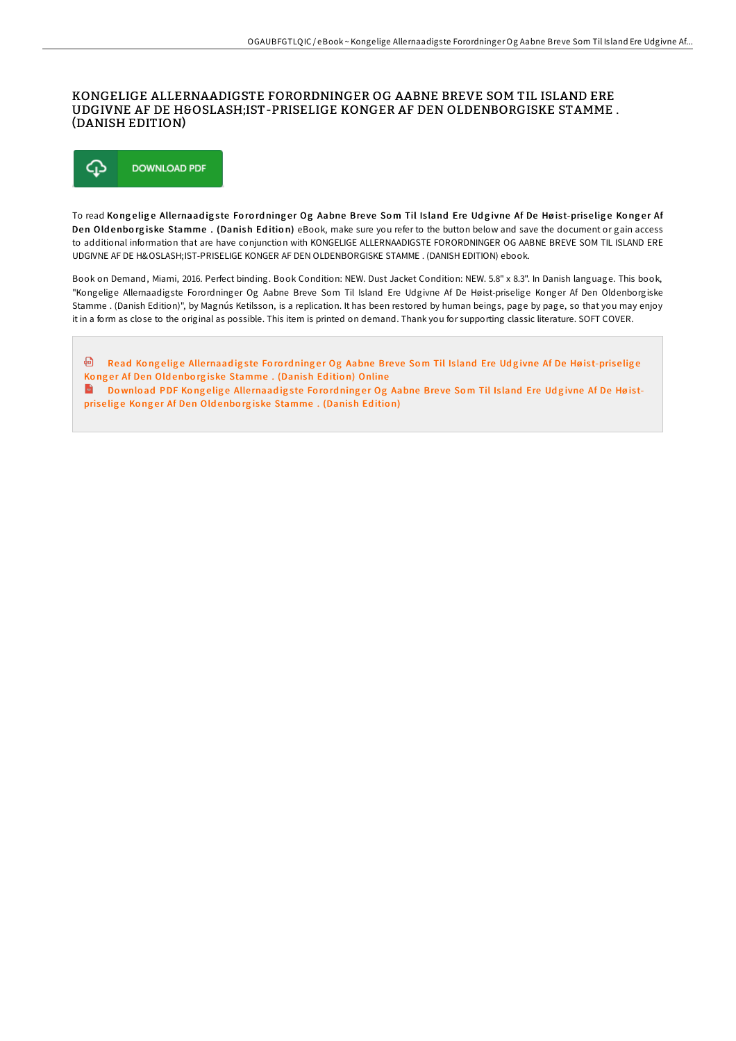### KONGELIGE ALLERNAADIGSTE FORORDNINGER OG AABNE BREVE SOM TIL ISLAND ERE UDGIVNE AF DE HØ IST-PRISELIGE KONGER AF DEN OLDENBORGISKE STAMME. (DANISH EDITION)



To read Kongelige Allernaadigste Forordninger Og Aabne Breve Som Til Island Ere Udgivne Af De Høist-priselige Konger Af Den Oldenborgiske Stamme. (Danish Edition) eBook, make sure you refer to the button below and save the document or gain access to additional information that are have conjunction with KONGELIGE ALLERNAADIGSTE FORORDNINGER OG AABNE BREVE SOM TIL ISLAND ERE UDGIVNE AF DE HØ IST-PRISELIGE KONGER AF DEN OLDENBORGISKE STAMME . (DANISH EDITION) ebook.

Book on Demand, Miami, 2016. Perfect binding. Book Condition: NEW. Dust Jacket Condition: NEW. 5.8" x 8.3". In Danish language. This book, "Kongelige Allernaadigste Forordninger Og Aabne Breve Som Til Island Ere Udgivne Af De Høist-priselige Konger Af Den Oldenborgiske Stamme . (Danish Edition)", by Magnús Ketilsson, is a replication. It has been restored by human beings, page by page, so that you may enjoy it in a form as close to the original as possible. This item is printed on demand. Thank you for supporting classic literature. SOFT COVER.

<sup>回</sup> Read Kongelige Allernaadigste Forordninger Og Aabne Breve Som Til Island Ere Udgivne Af De Høist-priselige Konger Af Den Oldenborgiske [Stamme](http://almighty24.tech/kongelige-allernaadigste-forordninger-og-aabne-b-1.html) . (Danish Edition) Online Do wnload PDF Kongelige Allernaadigste Forordninger Og Aabne Breve Som Til Island Ere Udgivne Af De Høist-priselige Konger Af Den Oldenborgiske [Stamme](http://almighty24.tech/kongelige-allernaadigste-forordninger-og-aabne-b-1.html). (Danish Edition)